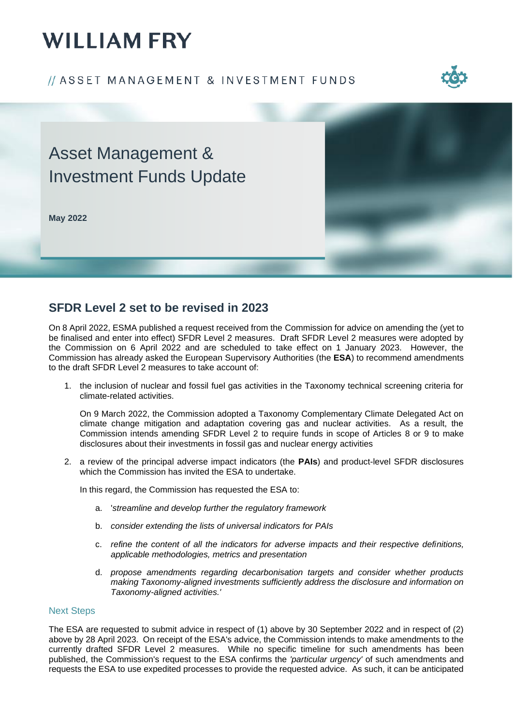# **WILLIAM FRY**

### // ASSET MANAGEMENT & INVESTMENT FUNDS



## Asset Management & Investment Funds Update

**May 2022**



### **SFDR Level 2 set to be revised in 2023**

On 8 April 2022, ESMA published a request received from the Commission for advice on amending the (yet to be finalised and enter into effect) SFDR Level 2 measures. Draft SFDR Level 2 measures were adopted by the Commission on 6 April 2022 and are scheduled to take effect on 1 January 2023. However, the Commission has already asked the European Supervisory Authorities (the **ESA**) to recommend amendments to the draft SFDR Level 2 measures to take account of:

1. the inclusion of nuclear and fossil fuel gas activities in the Taxonomy technical screening criteria for climate-related activities.

On 9 March 2022, the Commission adopted a Taxonomy Complementary Climate Delegated Act on climate change mitigation and adaptation covering gas and nuclear activities. As a result, the Commission intends amending SFDR Level 2 to require funds in scope of Articles 8 or 9 to make disclosures about their investments in fossil gas and nuclear energy activities

2. a review of the principal adverse impact indicators (the **PAIs**) and product-level SFDR disclosures which the Commission has invited the ESA to undertake.

In this regard, the Commission has requested the ESA to:

- a. '*streamline and develop further the regulatory framework*
- b. *consider extending the lists of universal indicators for PAIs*
- c. *refine the content of all the indicators for adverse impacts and their respective definitions, applicable methodologies, metrics and presentation*
- d. *propose amendments regarding decarbonisation targets and consider whether products making Taxonomy-aligned investments sufficiently address the disclosure and information on Taxonomy-aligned activities.'*

#### Next Steps

The ESA are requested to submit advice in respect of (1) above by 30 September 2022 and in respect of (2) above by 28 April 2023. On receipt of the ESA's advice, the Commission intends to make amendments to the currently drafted SFDR Level 2 measures. While no specific timeline for such amendments has been published, the Commission's request to the ESA confirms the *'particular urgency'* of such amendments and requests the ESA to use expedited processes to provide the requested advice. As such, it can be anticipated